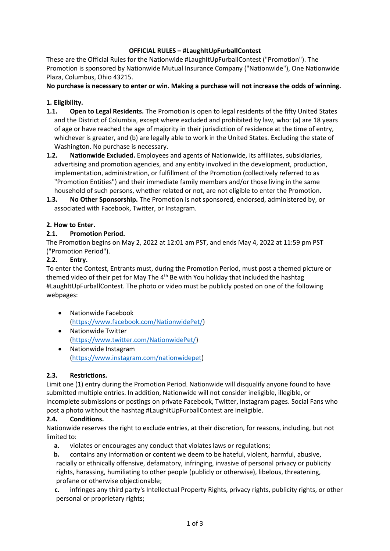## **OFFICIAL RULES – #LaughItUpFurballContest**

These are the Official Rules for the Nationwide #LaughItUpFurballContest ("Promotion"). The Promotion is sponsored by Nationwide Mutual Insurance Company ("Nationwide"), One Nationwide Plaza, Columbus, Ohio 43215.

**No purchase is necessary to enter or win. Making a purchase will not increase the odds of winning.**

## **1. Eligibility.**

- **1.1. Open to Legal Residents.** The Promotion is open to legal residents of the fifty United States and the District of Columbia, except where excluded and prohibited by law, who: (a) are 18 years of age or have reached the age of majority in their jurisdiction of residence at the time of entry, whichever is greater, and (b) are legally able to work in the United States. Excluding the state of Washington. No purchase is necessary.
- **1.2. Nationwide Excluded.** Employees and agents of Nationwide, its affiliates, subsidiaries, advertising and promotion agencies, and any entity involved in the development, production, implementation, administration, or fulfillment of the Promotion (collectively referred to as "Promotion Entities") and their immediate family members and/or those living in the same household of such persons, whether related or not, are not eligible to enter the Promotion.
- **1.3. No Other Sponsorship.** The Promotion is not sponsored, endorsed, administered by, or associated with Facebook, Twitter, or Instagram.

## **2. How to Enter.**

## **2.1. Promotion Period.**

The Promotion begins on May 2, 2022 at 12:01 am PST, and ends May 4, 2022 at 11:59 pm PST ("Promotion Period").

## **2.2. Entry.**

To enter the Contest, Entrants must, during the Promotion Period, must post a themed picture or themed video of their pet for May The  $4<sup>th</sup>$  Be with You holiday that included the hashtag #LaughItUpFurballContest. The photo or video must be publicly posted on one of the following webpages:

- Nationwide Facebook [\(https://www.facebook.com/NationwidePet/\)](https://www.facebook.com/NationwidePet/)
- Nationwide Twitter [\(https://www.twitter.com/NationwidePet/\)](https://www.twitter.com/NationwidePet/)
- Nationwide Instagram [\(https://www.instagram.com/nationwidepet\)](https://www.instagram.com/nationwidepet)

#### **2.3. Restrictions.**

Limit one (1) entry during the Promotion Period. Nationwide will disqualify anyone found to have submitted multiple entries. In addition, Nationwide will not consider ineligible, illegible, or incomplete submissions or postings on private Facebook, Twitter, Instagram pages. Social Fans who post a photo without the hashtag #LaughItUpFurballContest are ineligible.

#### **2.4. Conditions.**

Nationwide reserves the right to exclude entries, at their discretion, for reasons, including, but not limited to:

- **a.** violates or encourages any conduct that violates laws or regulations;
- **b.** contains any information or content we deem to be hateful, violent, harmful, abusive, racially or ethnically offensive, defamatory, infringing, invasive of personal privacy or publicity rights, harassing, humiliating to other people (publicly or otherwise), libelous, threatening, profane or otherwise objectionable;
- **c.** infringes any third party's Intellectual Property Rights, privacy rights, publicity rights, or other personal or proprietary rights;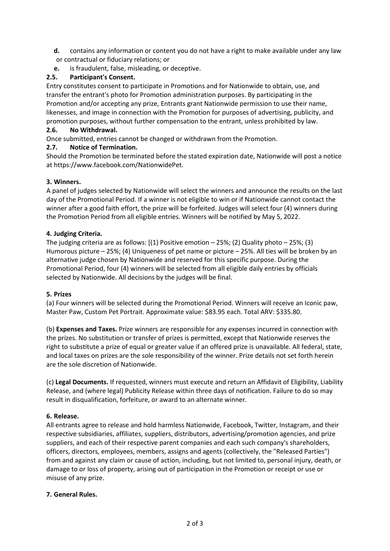- **d.** contains any information or content you do not have a right to make available under any law or contractual or fiduciary relations; or
- **e.** is fraudulent, false, misleading, or deceptive.

## **2.5. Participant's Consent.**

Entry constitutes consent to participate in Promotions and for Nationwide to obtain, use, and transfer the entrant's photo for Promotion administration purposes. By participating in the Promotion and/or accepting any prize, Entrants grant Nationwide permission to use their name, likenesses, and image in connection with the Promotion for purposes of advertising, publicity, and promotion purposes, without further compensation to the entrant, unless prohibited by law.

### **2.6. No Withdrawal.**

Once submitted, entries cannot be changed or withdrawn from the Promotion.

## **2.7. Notice of Termination.**

Should the Promotion be terminated before the stated expiration date, Nationwide will post a notice at https://www.facebook.com/NationwidePet.

#### **3. Winners.**

A panel of judges selected by Nationwide will select the winners and announce the results on the last day of the Promotional Period. If a winner is not eligible to win or if Nationwide cannot contact the winner after a good faith effort, the prize will be forfeited. Judges will select four (4) winners during the Promotion Period from all eligible entries. Winners will be notified by May 5, 2022.

#### **4. Judging Criteria.**

The judging criteria are as follows: [(1) Positive emotion – 25%; (2) Quality photo – 25%; (3) Humorous picture – 25%; (4) Uniqueness of pet name or picture – 25%. All ties will be broken by an alternative judge chosen by Nationwide and reserved for this specific purpose. During the Promotional Period, four (4) winners will be selected from all eligible daily entries by officials selected by Nationwide. All decisions by the judges will be final.

#### **5. Prizes**

(a) Four winners will be selected during the Promotional Period. Winners will receive an Iconic paw, Master Paw, Custom Pet Portrait. Approximate value: \$83.95 each. Total ARV: \$335.80.

(b) **Expenses and Taxes.** Prize winners are responsible for any expenses incurred in connection with the prizes. No substitution or transfer of prizes is permitted, except that Nationwide reserves the right to substitute a prize of equal or greater value if an offered prize is unavailable. All federal, state, and local taxes on prizes are the sole responsibility of the winner. Prize details not set forth herein are the sole discretion of Nationwide.

(c) **Legal Documents.** If requested, winners must execute and return an Affidavit of Eligibility, Liability Release, and (where legal) Publicity Release within three days of notification. Failure to do so may result in disqualification, forfeiture, or award to an alternate winner.

#### **6. Release.**

All entrants agree to release and hold harmless Nationwide, Facebook, Twitter, Instagram, and their respective subsidiaries, affiliates, suppliers, distributors, advertising/promotion agencies, and prize suppliers, and each of their respective parent companies and each such company's shareholders, officers, directors, employees, members, assigns and agents (collectively, the "Released Parties") from and against any claim or cause of action, including, but not limited to, personal injury, death, or damage to or loss of property, arising out of participation in the Promotion or receipt or use or misuse of any prize.

#### **7. General Rules.**